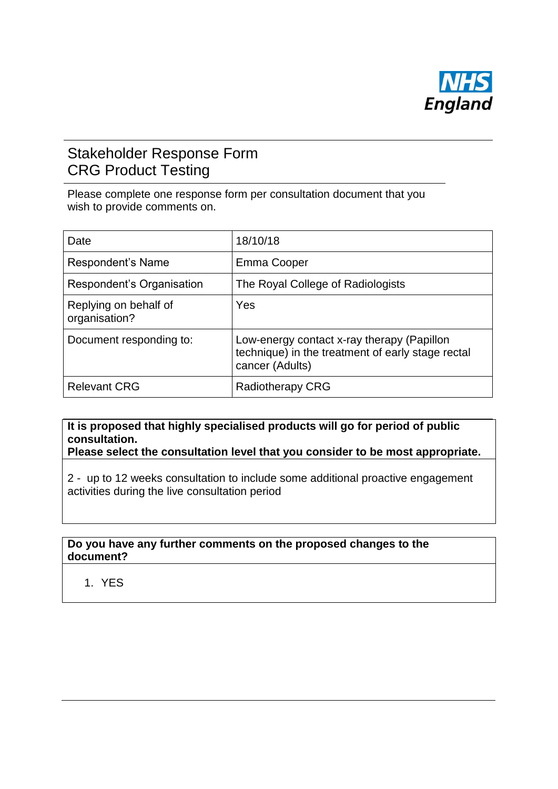

# Stakeholder Response Form CRG Product Testing

Please complete one response form per consultation document that you wish to provide comments on.

| Date                                   | 18/10/18                                                                                                           |
|----------------------------------------|--------------------------------------------------------------------------------------------------------------------|
| Respondent's Name                      | Emma Cooper                                                                                                        |
| Respondent's Organisation              | The Royal College of Radiologists                                                                                  |
| Replying on behalf of<br>organisation? | Yes                                                                                                                |
| Document responding to:                | Low-energy contact x-ray therapy (Papillon<br>technique) in the treatment of early stage rectal<br>cancer (Adults) |
| <b>Relevant CRG</b>                    | <b>Radiotherapy CRG</b>                                                                                            |

## **It is proposed that highly specialised products will go for period of public consultation.**

**Please select the consultation level that you consider to be most appropriate.**

2 - up to 12 weeks consultation to include some additional proactive engagement activities during the live consultation period

#### **Do you have any further comments on the proposed changes to the document?**

1. YES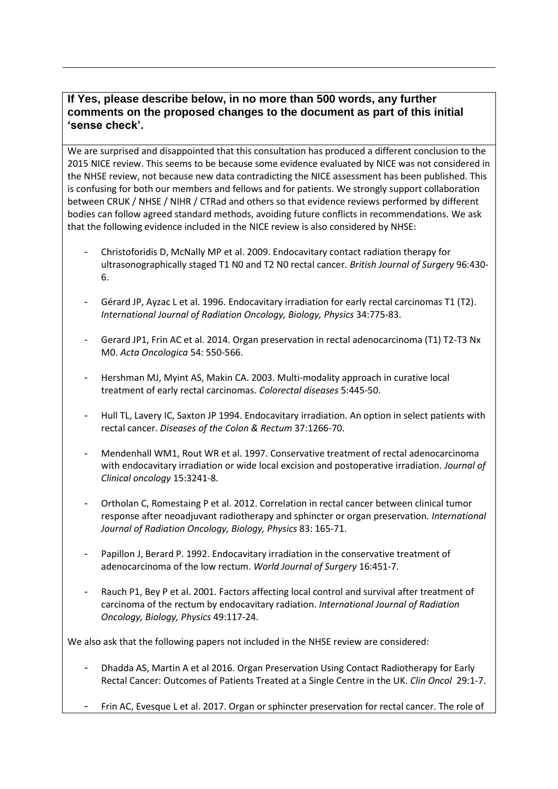#### **If Yes, please describe below, in no more than 500 words, any further comments on the proposed changes to the document as part of this initial 'sense check'.**

We are surprised and disappointed that this consultation has produced a different conclusion to the 2015 NICE review. This seems to be because some evidence evaluated by NICE was not considered in the NHSE review, not because new data contradicting the NICE assessment has been published. This is confusing for both our members and fellows and for patients. We strongly support collaboration between CRUK / NHSE / NIHR / CTRad and others so that evidence reviews performed by different bodies can follow agreed standard methods, avoiding future conflicts in recommendations. We ask that the following evidence included in the NICE review is also considered by NHSE:

- Christoforidis D, McNally MP et al. 2009. Endocavitary contact radiation therapy for ultrasonographically staged T1 N0 and T2 N0 rectal cancer. *British Journal of Surgery* 96:430- 6.
- Gérard JP, Ayzac L et al. 1996. Endocavitary irradiation for early rectal carcinomas T1 (T2). *International Journal of Radiation Oncology, Biology, Physics* 34:775-83.
- Gerard JP1, Frin AC et al. 2014. Organ preservation in rectal adenocarcinoma (T1) T2-T3 Nx M0. *Acta Oncologica* 54: 550-566.
- Hershman MJ, Myint AS, Makin CA. 2003. Multi-modality approach in curative local treatment of early rectal carcinomas. *Colorectal diseases* 5:445-50.
- Hull TL, Lavery IC, Saxton JP 1994. Endocavitary irradiation. An option in select patients with rectal cancer. *Diseases of the Colon & Rectum* 37:1266-70.
- Mendenhall WM1, Rout WR et al. 1997. Conservative treatment of rectal adenocarcinoma with endocavitary irradiation or wide local excision and postoperative irradiation. *Journal of Clinical oncology* 15:3241-8.
- Ortholan C, Romestaing P et al. 2012. Correlation in rectal cancer between clinical tumor response after neoadjuvant radiotherapy and sphincter or organ preservation. *International Journal of Radiation Oncology, Biology, Physics* 83: 165-71.
- Papillon J, Berard P. 1992. Endocavitary irradiation in the conservative treatment of adenocarcinoma of the low rectum. *World Journal of Surgery* 16:451-7.
- Rauch P1, Bey P et al. 2001. Factors affecting local control and survival after treatment of carcinoma of the rectum by endocavitary radiation. *International Journal of Radiation Oncology, Biology, Physics* 49:117-24.

We also ask that the following papers not included in the NHSE review are considered:

- Dhadda AS, Martin A et al 2016. Organ Preservation Using Contact Radiotherapy for Early Rectal Cancer: Outcomes of Patients Treated at a Single Centre in the UK. *Clin Oncol* 29:1-7.
- Frin AC, Evesque L et al. 2017. Organ or sphincter preservation for rectal cancer. The role of